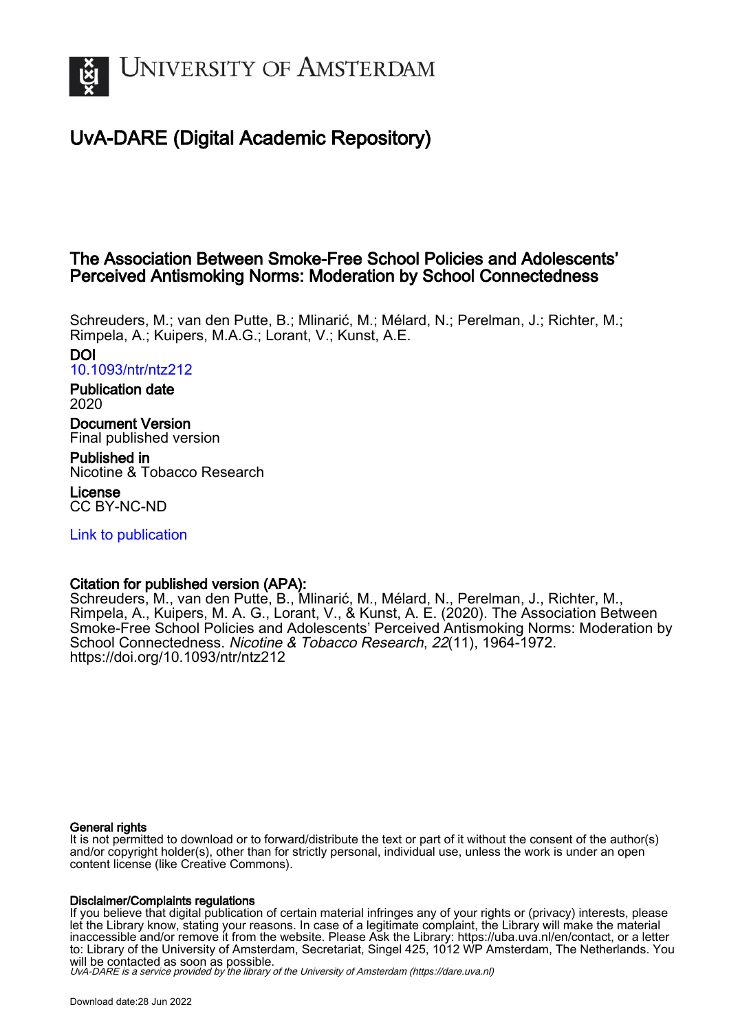

# UvA-DARE (Digital Academic Repository)

# The Association Between Smoke-Free School Policies and Adolescents' Perceived Antismoking Norms: Moderation by School Connectedness

Schreuders, M.; van den Putte, B.; Mlinarić, M.; Mélard, N.; Perelman, J.; Richter, M.; Rimpela, A.; Kuipers, M.A.G.; Lorant, V.; Kunst, A.E.

DOI [10.1093/ntr/ntz212](https://doi.org/10.1093/ntr/ntz212)

Publication date 2020

Document Version Final published version

Published in Nicotine & Tobacco Research

License CC BY-NC-ND

[Link to publication](https://dare.uva.nl/personal/pure/en/publications/the-association-between-smokefree-school-policies-and-adolescents-perceived-antismoking-norms-moderation-by-school-connectedness(54b573de-66c1-4304-a085-304500c7bba2).html)

# Citation for published version (APA):

Schreuders, M., van den Putte, B., Mlinarić, M., Mélard, N., Perelman, J., Richter, M., Rimpela, A., Kuipers, M. A. G., Lorant, V., & Kunst, A. E. (2020). The Association Between Smoke-Free School Policies and Adolescents' Perceived Antismoking Norms: Moderation by School Connectedness. Nicotine & Tobacco Research, 22(11), 1964-1972. <https://doi.org/10.1093/ntr/ntz212>

# General rights

It is not permitted to download or to forward/distribute the text or part of it without the consent of the author(s) and/or copyright holder(s), other than for strictly personal, individual use, unless the work is under an open content license (like Creative Commons).

## Disclaimer/Complaints regulations

If you believe that digital publication of certain material infringes any of your rights or (privacy) interests, please let the Library know, stating your reasons. In case of a legitimate complaint, the Library will make the material inaccessible and/or remove it from the website. Please Ask the Library: https://uba.uva.nl/en/contact, or a letter to: Library of the University of Amsterdam, Secretariat, Singel 425, 1012 WP Amsterdam, The Netherlands. You will be contacted as soon as possible.

UvA-DARE is a service provided by the library of the University of Amsterdam (http*s*://dare.uva.nl)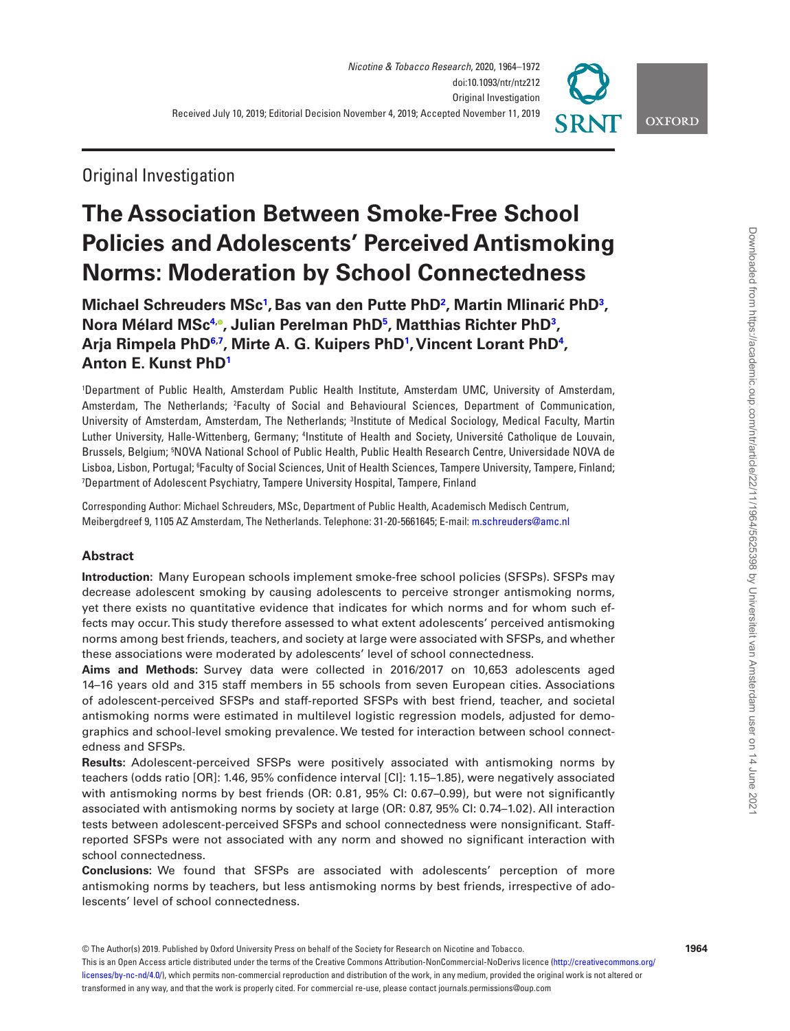

**OXFORD** 

# Original Investigation

# **The Association Between Smoke-Free School Policies and Adolescents' Perceived Antismoking Norms: Moderation by School Connectedness**

**Michael Schreuders MS[c1](#page-1-0) ,Bas van den Putte Ph[D2](#page-1-1) , Martin Mlinarić Ph[D3](#page-1-2) , Nora Mélard MS[c4](#page-1-3), , Julian Perelman Ph[D5](#page-1-4) , Matthias Richter Ph[D3](#page-1-2) , Arja Rimpela PhD[6](#page-1-5)[,7](#page-1-6) , Mirte A. G. Kuipers Ph[D1](#page-1-0) , Vincent Lorant Ph[D4](#page-1-3) , Anton E. Kunst PhD[1](#page-1-0)**

<span id="page-1-3"></span><span id="page-1-2"></span><span id="page-1-1"></span><span id="page-1-0"></span>1 Department of Public Health, Amsterdam Public Health Institute, Amsterdam UMC, University of Amsterdam, Amsterdam, The Netherlands; <sup>2</sup>Faculty of Social and Behavioural Sciences, Department of Communication, University of Amsterdam, Amsterdam, The Netherlands; <sup>3</sup>Institute of Medical Sociology, Medical Faculty, Martin Luther University, Halle-Wittenberg, Germany; <sup>4</sup>Institute of Health and Society, Université Catholique de Louvain, Brussels, Belgium; 5 NOVA National School of Public Health, Public Health Research Centre, Universidade NOVA de Lisboa, Lisbon, Portugal; 6 Faculty of Social Sciences, Unit of Health Sciences, Tampere University, Tampere, Finland; 7 Department of Adolescent Psychiatry, Tampere University Hospital, Tampere, Finland

<span id="page-1-6"></span><span id="page-1-5"></span><span id="page-1-4"></span>Corresponding Author: Michael Schreuders, MSc, Department of Public Health, Academisch Medisch Centrum, Meibergdreef 9, 1105 AZ Amsterdam, The Netherlands. Telephone: 31-20-5661645; E-mail: [m.schreuders@amc.nl](mailto:m.schreuders@amc.nl?subject=)

# **Abstract**

**Introduction:** Many European schools implement smoke-free school policies (SFSPs). SFSPs may decrease adolescent smoking by causing adolescents to perceive stronger antismoking norms, yet there exists no quantitative evidence that indicates for which norms and for whom such effects may occur. This study therefore assessed to what extent adolescents' perceived antismoking norms among best friends, teachers, and society at large were associated with SFSPs, and whether these associations were moderated by adolescents' level of school connectedness.

**Aims and Methods:** Survey data were collected in 2016/2017 on 10,653 adolescents aged 14–16 years old and 315 staff members in 55 schools from seven European cities. Associations of adolescent-perceived SFSPs and staff-reported SFSPs with best friend, teacher, and societal antismoking norms were estimated in multilevel logistic regression models, adjusted for demographics and school-level smoking prevalence. We tested for interaction between school connectedness and SFSPs.

**Results:** Adolescent-perceived SFSPs were positively associated with antismoking norms by teachers (odds ratio [OR]: 1.46, 95% confidence interval [CI]: 1.15–1.85), were negatively associated with antismoking norms by best friends (OR: 0.81, 95% CI: 0.67–0.99), but were not significantly associated with antismoking norms by society at large (OR: 0.87, 95% CI: 0.74–1.02). All interaction tests between adolescent-perceived SFSPs and school connectedness were nonsignificant. Staffreported SFSPs were not associated with any norm and showed no significant interaction with school connectedness.

**Conclusions:** We found that SFSPs are associated with adolescents' perception of more antismoking norms by teachers, but less antismoking norms by best friends, irrespective of adolescents' level of school connectedness.

© The Author(s) 2019. Published by Oxford University Press on behalf of the Society for Research on Nicotine and Tobacco.

This is an Open Access article distributed under the terms of the Creative Commons Attribution-NonCommercial-NoDerivs licence ([http://creativecommons.org/](http://creativecommons.org/licenses/by-nc-nd/4.0/) [licenses/by-nc-nd/4.0/\)](http://creativecommons.org/licenses/by-nc-nd/4.0/), which permits non-commercial reproduction and distribution of the work, in any medium, provided the original work is not altered or transformed in any way, and that the work is properly cited. For commercial re-use, please contact journals.permissions@oup.com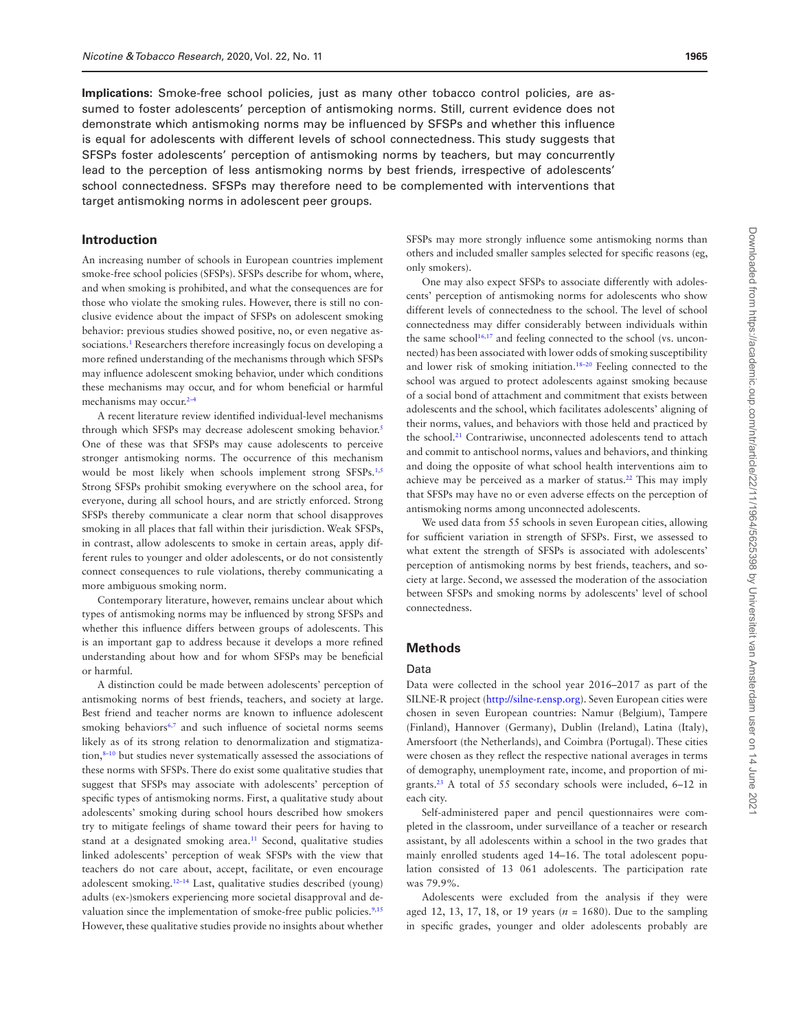**Implications:** Smoke-free school policies, just as many other tobacco control policies, are assumed to foster adolescents' perception of antismoking norms. Still, current evidence does not demonstrate which antismoking norms may be influenced by SFSPs and whether this influence is equal for adolescents with different levels of school connectedness. This study suggests that SFSPs foster adolescents' perception of antismoking norms by teachers, but may concurrently lead to the perception of less antismoking norms by best friends, irrespective of adolescents' school connectedness. SFSPs may therefore need to be complemented with interventions that target antismoking norms in adolescent peer groups.

### **Introduction**

An increasing number of schools in European countries implement smoke-free school policies (SFSPs). SFSPs describe for whom, where, and when smoking is prohibited, and what the consequences are for those who violate the smoking rules. However, there is still no conclusive evidence about the impact of SFSPs on adolescent smoking behavior: previous studies showed positive, no, or even negative associations.<sup>1</sup> Researchers therefore increasingly focus on developing a more refined understanding of the mechanisms through which SFSPs may influence adolescent smoking behavior, under which conditions these mechanisms may occur, and for whom beneficial or harmful mechanisms may occur.<sup>[2–](#page-8-1)[4](#page-8-2)</sup>

A recent literature review identified individual-level mechanisms through which SFSPs may decrease adolescent smoking behavior.<sup>5</sup> One of these was that SFSPs may cause adolescents to perceive stronger antismoking norms. The occurrence of this mechanism would be most likely when schools implement strong SFSPs.<sup>1,[5](#page-8-3)</sup> Strong SFSPs prohibit smoking everywhere on the school area, for everyone, during all school hours, and are strictly enforced. Strong SFSPs thereby communicate a clear norm that school disapproves smoking in all places that fall within their jurisdiction. Weak SFSPs, in contrast, allow adolescents to smoke in certain areas, apply different rules to younger and older adolescents, or do not consistently connect consequences to rule violations, thereby communicating a more ambiguous smoking norm.

Contemporary literature, however, remains unclear about which types of antismoking norms may be influenced by strong SFSPs and whether this influence differs between groups of adolescents. This is an important gap to address because it develops a more refined understanding about how and for whom SFSPs may be beneficial or harmful.

A distinction could be made between adolescents' perception of antismoking norms of best friends, teachers, and society at large. Best friend and teacher norms are known to influence adolescent smoking behaviors<sup>6,[7](#page-8-5)</sup> and such influence of societal norms seems likely as of its strong relation to denormalization and stigmatiza-tion,<sup>[8](#page-8-6)-10</sup> but studies never systematically assessed the associations of these norms with SFSPs. There do exist some qualitative studies that suggest that SFSPs may associate with adolescents' perception of specific types of antismoking norms. First, a qualitative study about adolescents' smoking during school hours described how smokers try to mitigate feelings of shame toward their peers for having to stand at a designated smoking area.<sup>11</sup> Second, qualitative studies linked adolescents' perception of weak SFSPs with the view that teachers do not care about, accept, facilitate, or even encourage adolescent smoking[.12](#page-8-9)–[14](#page-8-10) Last, qualitative studies described (young) adults (ex-)smokers experiencing more societal disapproval and de-valuation since the implementation of smoke-free public policies.<sup>[9](#page-8-11)[,15](#page-8-12)</sup> However, these qualitative studies provide no insights about whether

SFSPs may more strongly influence some antismoking norms than others and included smaller samples selected for specific reasons (eg, only smokers).

One may also expect SFSPs to associate differently with adolescents' perception of antismoking norms for adolescents who show different levels of connectedness to the school. The level of school connectedness may differ considerably between individuals within the same school $16,17$  and feeling connected to the school (vs. unconnected) has been associated with lower odds of smoking susceptibility and lower risk of smoking initiation[.18](#page-8-15)–[20](#page-8-16) Feeling connected to the school was argued to protect adolescents against smoking because of a social bond of attachment and commitment that exists between adolescents and the school, which facilitates adolescents' aligning of their norms, values, and behaviors with those held and practiced by the school.<sup>21</sup> Contrariwise, unconnected adolescents tend to attach and commit to antischool norms, values and behaviors, and thinking and doing the opposite of what school health interventions aim to achieve may be perceived as a marker of status[.22](#page-8-18) This may imply that SFSPs may have no or even adverse effects on the perception of antismoking norms among unconnected adolescents.

We used data from 55 schools in seven European cities, allowing for sufficient variation in strength of SFSPs. First, we assessed to what extent the strength of SFSPs is associated with adolescents' perception of antismoking norms by best friends, teachers, and society at large. Second, we assessed the moderation of the association between SFSPs and smoking norms by adolescents' level of school connectedness.

#### **Methods**

#### Data

Data were collected in the school year 2016–2017 as part of the SILNE-R project ([http://silne-r.ensp.org\)](http://silne-r.ensp.org). Seven European cities were chosen in seven European countries: Namur (Belgium), Tampere (Finland), Hannover (Germany), Dublin (Ireland), Latina (Italy), Amersfoort (the Netherlands), and Coimbra (Portugal). These cities were chosen as they reflect the respective national averages in terms of demography, unemployment rate, income, and proportion of migrants[.23](#page-8-19) A total of 55 secondary schools were included, 6–12 in each city.

Self-administered paper and pencil questionnaires were completed in the classroom, under surveillance of a teacher or research assistant, by all adolescents within a school in the two grades that mainly enrolled students aged 14–16. The total adolescent population consisted of 13 061 adolescents. The participation rate was 79.9%.

Adolescents were excluded from the analysis if they were aged 12, 13, 17, 18, or 19 years (*n* = 1680). Due to the sampling in specific grades, younger and older adolescents probably are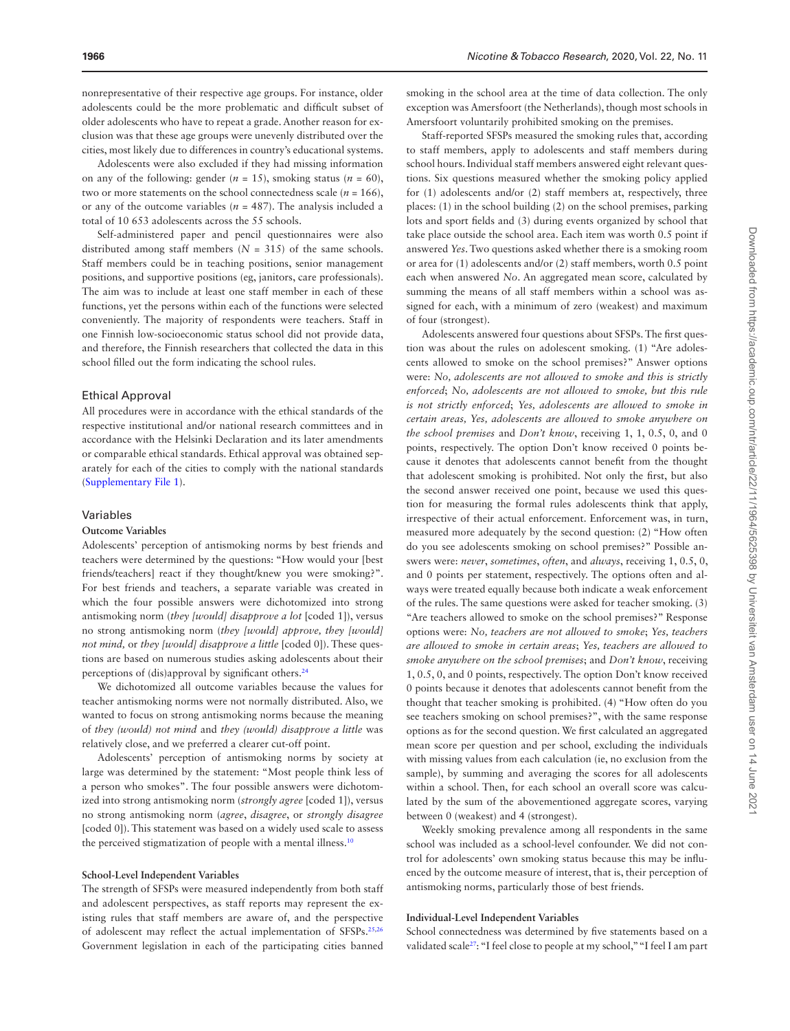nonrepresentative of their respective age groups. For instance, older adolescents could be the more problematic and difficult subset of older adolescents who have to repeat a grade. Another reason for exclusion was that these age groups were unevenly distributed over the cities, most likely due to differences in country's educational systems.

Adolescents were also excluded if they had missing information on any of the following: gender  $(n = 15)$ , smoking status  $(n = 60)$ , two or more statements on the school connectedness scale  $(n = 166)$ , or any of the outcome variables ( $n = 487$ ). The analysis included a total of 10 653 adolescents across the 55 schools.

Self-administered paper and pencil questionnaires were also distributed among staff members  $(N = 315)$  of the same schools. Staff members could be in teaching positions, senior management positions, and supportive positions (eg, janitors, care professionals). The aim was to include at least one staff member in each of these functions, yet the persons within each of the functions were selected conveniently. The majority of respondents were teachers. Staff in one Finnish low-socioeconomic status school did not provide data, and therefore, the Finnish researchers that collected the data in this school filled out the form indicating the school rules.

#### Ethical Approval

All procedures were in accordance with the ethical standards of the respective institutional and/or national research committees and in accordance with the Helsinki Declaration and its later amendments or comparable ethical standards. Ethical approval was obtained separately for each of the cities to comply with the national standards [\(Supplementary File 1](http://academic.oup.com/ntr/article-lookup/doi/10.1093/ntr/ntz212#supplementary-data)).

#### Variables

#### **Outcome Variables**

Adolescents' perception of antismoking norms by best friends and teachers were determined by the questions: "How would your [best friends/teachers] react if they thought/knew you were smoking?". For best friends and teachers, a separate variable was created in which the four possible answers were dichotomized into strong antismoking norm (*they [would] disapprove a lot* [coded 1]), versus no strong antismoking norm (*they [would] approve, they [would] not mind,* or *they [would] disapprove a little* [coded 0]). These questions are based on numerous studies asking adolescents about their perceptions of (dis)approval by significant others.<sup>24</sup>

We dichotomized all outcome variables because the values for teacher antismoking norms were not normally distributed. Also, we wanted to focus on strong antismoking norms because the meaning of *they (would) not mind* and *they (would) disapprove a little* was relatively close, and we preferred a clearer cut-off point.

Adolescents' perception of antismoking norms by society at large was determined by the statement: "Most people think less of a person who smokes". The four possible answers were dichotomized into strong antismoking norm (*strongly agree* [coded 1]), versus no strong antismoking norm (*agree*, *disagree*, or *strongly disagree* [coded 0]). This statement was based on a widely used scale to assess the perceived stigmatization of people with a mental illness.<sup>10</sup>

#### **School-Level Independent Variables**

The strength of SFSPs were measured independently from both staff and adolescent perspectives, as staff reports may represent the existing rules that staff members are aware of, and the perspective of adolescent may reflect the actual implementation of SFSPs.[25](#page-9-1)[,26](#page-9-2) Government legislation in each of the participating cities banned smoking in the school area at the time of data collection. The only exception was Amersfoort (the Netherlands), though most schools in Amersfoort voluntarily prohibited smoking on the premises.

Staff-reported SFSPs measured the smoking rules that, according to staff members, apply to adolescents and staff members during school hours. Individual staff members answered eight relevant questions. Six questions measured whether the smoking policy applied for (1) adolescents and/or (2) staff members at, respectively, three places: (1) in the school building (2) on the school premises, parking lots and sport fields and (3) during events organized by school that take place outside the school area. Each item was worth 0.5 point if answered *Yes*. Two questions asked whether there is a smoking room or area for (1) adolescents and/or (2) staff members, worth 0.5 point each when answered *No*. An aggregated mean score, calculated by summing the means of all staff members within a school was assigned for each, with a minimum of zero (weakest) and maximum of four (strongest).

Adolescents answered four questions about SFSPs. The first question was about the rules on adolescent smoking. (1) "Are adolescents allowed to smoke on the school premises?" Answer options were: *No, adolescents are not allowed to smoke and this is strictly enforced*; *No, adolescents are not allowed to smoke, but this rule is not strictly enforced*; *Yes, adolescents are allowed to smoke in certain areas, Yes, adolescents are allowed to smoke anywhere on the school premises* and *Don't know*, receiving 1, 1, 0.5, 0, and 0 points, respectively. The option Don't know received 0 points because it denotes that adolescents cannot benefit from the thought that adolescent smoking is prohibited. Not only the first, but also the second answer received one point, because we used this question for measuring the formal rules adolescents think that apply, irrespective of their actual enforcement. Enforcement was, in turn, measured more adequately by the second question: (2) "How often do you see adolescents smoking on school premises?" Possible answers were: *never*, *sometimes*, *often*, and *always*, receiving 1, 0.5, 0, and 0 points per statement, respectively. The options often and always were treated equally because both indicate a weak enforcement of the rules. The same questions were asked for teacher smoking. (3) "Are teachers allowed to smoke on the school premises?" Response options were: *No, teachers are not allowed to smoke*; *Yes, teachers are allowed to smoke in certain areas*; *Yes, teachers are allowed to smoke anywhere on the school premises*; and *Don't know*, receiving 1, 0.5, 0, and 0 points, respectively. The option Don't know received 0 points because it denotes that adolescents cannot benefit from the thought that teacher smoking is prohibited. (4) "How often do you see teachers smoking on school premises?", with the same response options as for the second question. We first calculated an aggregated mean score per question and per school, excluding the individuals with missing values from each calculation (ie, no exclusion from the sample), by summing and averaging the scores for all adolescents within a school. Then, for each school an overall score was calculated by the sum of the abovementioned aggregate scores, varying between 0 (weakest) and 4 (strongest).

Weekly smoking prevalence among all respondents in the same school was included as a school-level confounder. We did not control for adolescents' own smoking status because this may be influenced by the outcome measure of interest, that is, their perception of antismoking norms, particularly those of best friends.

#### **Individual-Level Independent Variables**

School connectedness was determined by five statements based on a validated scale<sup>27</sup>: "I feel close to people at my school," "I feel I am part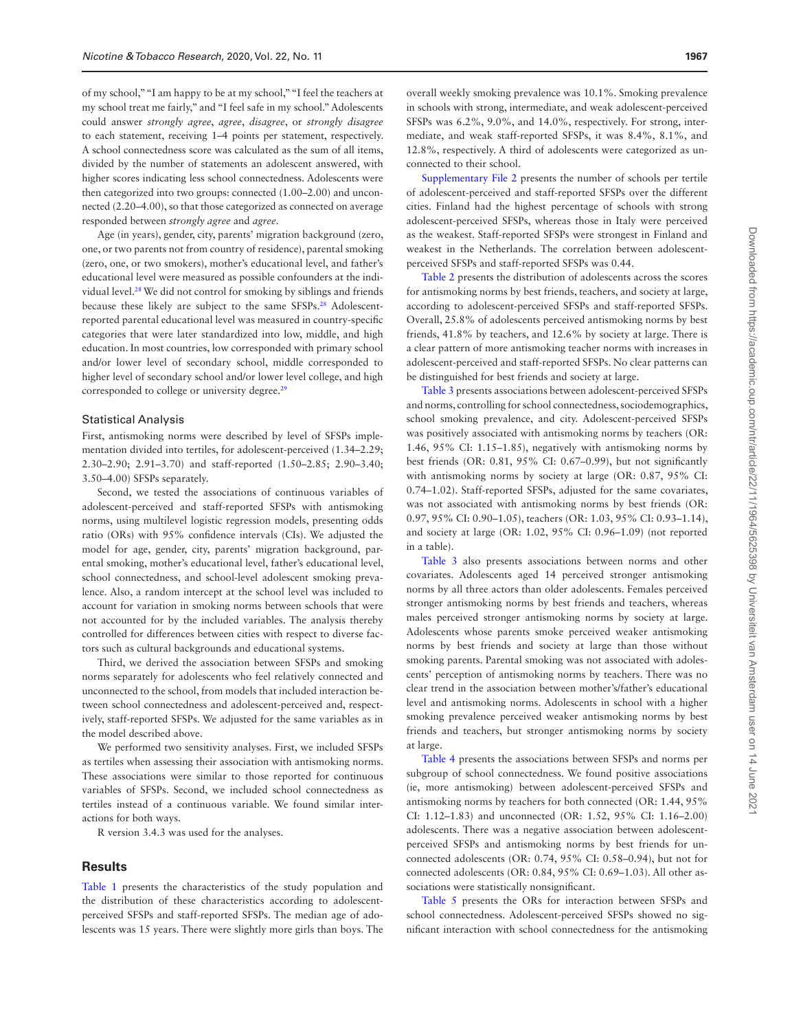of my school," "I am happy to be at my school," "I feel the teachers at my school treat me fairly," and "I feel safe in my school." Adolescents could answer *strongly agree*, *agree*, *disagree*, or *strongly disagree* to each statement, receiving 1–4 points per statement, respectively. A school connectedness score was calculated as the sum of all items, divided by the number of statements an adolescent answered, with higher scores indicating less school connectedness. Adolescents were then categorized into two groups: connected (1.00–2.00) and unconnected (2.20–4.00), so that those categorized as connected on average responded between *strongly agree* and *agree*.

Age (in years), gender, city, parents' migration background (zero, one, or two parents not from country of residence), parental smoking (zero, one, or two smokers), mother's educational level, and father's educational level were measured as possible confounders at the individual level.[28](#page-9-4) We did not control for smoking by siblings and friends because these likely are subject to the same SFSPs.<sup>28</sup> Adolescentreported parental educational level was measured in country-specific categories that were later standardized into low, middle, and high education. In most countries, low corresponded with primary school and/or lower level of secondary school, middle corresponded to higher level of secondary school and/or lower level college, and high corresponded to college or university degree.<sup>[29](#page-9-5)</sup>

#### Statistical Analysis

First, antismoking norms were described by level of SFSPs implementation divided into tertiles, for adolescent-perceived (1.34–2.29; 2.30–2.90; 2.91–3.70) and staff-reported (1.50–2.85; 2.90–3.40; 3.50–4.00) SFSPs separately.

Second, we tested the associations of continuous variables of adolescent-perceived and staff-reported SFSPs with antismoking norms, using multilevel logistic regression models, presenting odds ratio (ORs) with 95% confidence intervals (CIs). We adjusted the model for age, gender, city, parents' migration background, parental smoking, mother's educational level, father's educational level, school connectedness, and school-level adolescent smoking prevalence. Also, a random intercept at the school level was included to account for variation in smoking norms between schools that were not accounted for by the included variables. The analysis thereby controlled for differences between cities with respect to diverse factors such as cultural backgrounds and educational systems.

Third, we derived the association between SFSPs and smoking norms separately for adolescents who feel relatively connected and unconnected to the school, from models that included interaction between school connectedness and adolescent-perceived and, respectively, staff-reported SFSPs. We adjusted for the same variables as in the model described above.

We performed two sensitivity analyses. First, we included SFSPs as tertiles when assessing their association with antismoking norms. These associations were similar to those reported for continuous variables of SFSPs. Second, we included school connectedness as tertiles instead of a continuous variable. We found similar interactions for both ways.

R version 3.4.3 was used for the analyses.

#### **Results**

[Table 1](#page-5-0) presents the characteristics of the study population and the distribution of these characteristics according to adolescentperceived SFSPs and staff-reported SFSPs. The median age of adolescents was 15 years. There were slightly more girls than boys. The overall weekly smoking prevalence was 10.1%. Smoking prevalence in schools with strong, intermediate, and weak adolescent-perceived SFSPs was 6.2%, 9.0%, and 14.0%, respectively. For strong, intermediate, and weak staff-reported SFSPs, it was 8.4%, 8.1%, and 12.8%, respectively. A third of adolescents were categorized as unconnected to their school.

[Supplementary File 2](http://academic.oup.com/ntr/article-lookup/doi/10.1093/ntr/ntz212#supplementary-data) presents the number of schools per tertile of adolescent-perceived and staff-reported SFSPs over the different cities. Finland had the highest percentage of schools with strong adolescent-perceived SFSPs, whereas those in Italy were perceived as the weakest. Staff-reported SFSPs were strongest in Finland and weakest in the Netherlands. The correlation between adolescentperceived SFSPs and staff-reported SFSPs was 0.44.

[Table 2](#page-5-1) presents the distribution of adolescents across the scores for antismoking norms by best friends, teachers, and society at large, according to adolescent-perceived SFSPs and staff-reported SFSPs. Overall, 25.8% of adolescents perceived antismoking norms by best friends, 41.8% by teachers, and 12.6% by society at large. There is a clear pattern of more antismoking teacher norms with increases in adolescent-perceived and staff-reported SFSPs. No clear patterns can be distinguished for best friends and society at large.

[Table 3](#page-6-0) presents associations between adolescent-perceived SFSPs and norms, controlling for school connectedness, sociodemographics, school smoking prevalence, and city. Adolescent-perceived SFSPs was positively associated with antismoking norms by teachers (OR: 1.46, 95% CI: 1.15–1.85), negatively with antismoking norms by best friends (OR: 0.81, 95% CI: 0.67–0.99), but not significantly with antismoking norms by society at large (OR: 0.87, 95% CI: 0.74–1.02). Staff-reported SFSPs, adjusted for the same covariates, was not associated with antismoking norms by best friends (OR: 0.97, 95% CI: 0.90–1.05), teachers (OR: 1.03, 95% CI: 0.93–1.14), and society at large (OR: 1.02, 95% CI: 0.96–1.09) (not reported in a table).

[Table 3](#page-6-0) also presents associations between norms and other covariates. Adolescents aged 14 perceived stronger antismoking norms by all three actors than older adolescents. Females perceived stronger antismoking norms by best friends and teachers, whereas males perceived stronger antismoking norms by society at large. Adolescents whose parents smoke perceived weaker antismoking norms by best friends and society at large than those without smoking parents. Parental smoking was not associated with adolescents' perception of antismoking norms by teachers. There was no clear trend in the association between mother's/father's educational level and antismoking norms. Adolescents in school with a higher smoking prevalence perceived weaker antismoking norms by best friends and teachers, but stronger antismoking norms by society at large.

[Table 4](#page-7-0) presents the associations between SFSPs and norms per subgroup of school connectedness. We found positive associations (ie, more antismoking) between adolescent-perceived SFSPs and antismoking norms by teachers for both connected (OR: 1.44, 95% CI: 1.12–1.83) and unconnected (OR: 1.52, 95% CI: 1.16–2.00) adolescents. There was a negative association between adolescentperceived SFSPs and antismoking norms by best friends for unconnected adolescents (OR: 0.74, 95% CI: 0.58–0.94), but not for connected adolescents (OR: 0.84, 95% CI: 0.69–1.03). All other associations were statistically nonsignificant.

[Table 5](#page-7-1) presents the ORs for interaction between SFSPs and school connectedness. Adolescent-perceived SFSPs showed no significant interaction with school connectedness for the antismoking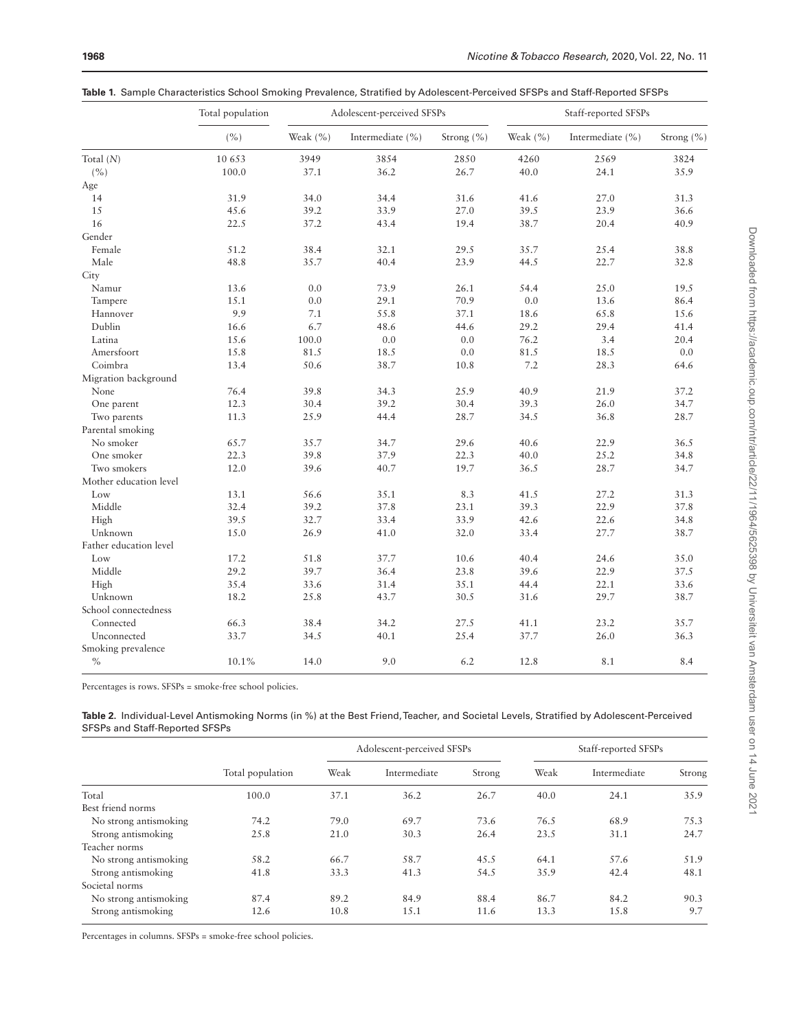<span id="page-5-0"></span>

|  |  |  |  |  |  | <b>Table 1</b> . Sample Characteristics School Smoking Prevalence, Stratified by Adolescent-Perceived SFSPs and Staff-Reported SFSPs |
|--|--|--|--|--|--|--------------------------------------------------------------------------------------------------------------------------------------|
|--|--|--|--|--|--|--------------------------------------------------------------------------------------------------------------------------------------|

|                        | Total population | Adolescent-perceived SFSPs |                      |                | Staff-reported SFSPs |                      |            |
|------------------------|------------------|----------------------------|----------------------|----------------|----------------------|----------------------|------------|
|                        | (%)              | Weak (%)                   | Intermediate $(\% )$ | Strong $(\% )$ | Weak $(\% )$         | Intermediate $(\% )$ | Strong (%) |
| Total $(N)$            | 10 653           | 3949                       | 3854                 | 2850           | 4260                 | 2569                 | 3824       |
| (%)                    | 100.0            | 37.1                       | 36.2                 | 26.7           | 40.0                 | 24.1                 | 35.9       |
| Age                    |                  |                            |                      |                |                      |                      |            |
| 14                     | 31.9             | 34.0                       | 34.4                 | 31.6           | 41.6                 | 27.0                 | 31.3       |
| 15                     | 45.6             | 39.2                       | 33.9                 | 27.0           | 39.5                 | 23.9                 | 36.6       |
| 16                     | 22.5             | 37.2                       | 43.4                 | 19.4           | 38.7                 | 20.4                 | 40.9       |
| Gender                 |                  |                            |                      |                |                      |                      |            |
| Female                 | 51.2             | 38.4                       | 32.1                 | 29.5           | 35.7                 | 25.4                 | 38.8       |
| Male                   | 48.8             | 35.7                       | 40.4                 | 23.9           | 44.5                 | 22.7                 | 32.8       |
| City                   |                  |                            |                      |                |                      |                      |            |
| Namur                  | 13.6             | 0.0                        | 73.9                 | 26.1           | 54.4                 | 25.0                 | 19.5       |
| Tampere                | 15.1             | 0.0                        | 29.1                 | 70.9           | 0.0                  | 13.6                 | 86.4       |
| Hannover               | 9.9              | 7.1                        | 55.8                 | 37.1           | 18.6                 | 65.8                 | 15.6       |
| Dublin                 | 16.6             | 6.7                        | 48.6                 | 44.6           | 29.2                 | 29.4                 | 41.4       |
| Latina                 | 15.6             | 100.0                      | 0.0                  | 0.0            | 76.2                 | 3.4                  | 20.4       |
| Amersfoort             | 15.8             | 81.5                       | 18.5                 | 0.0            | 81.5                 | 18.5                 | 0.0        |
| Coimbra                | 13.4             | 50.6                       | 38.7                 | 10.8           | 7.2                  | 28.3                 | 64.6       |
| Migration background   |                  |                            |                      |                |                      |                      |            |
| None                   | 76.4             | 39.8                       | 34.3                 | 25.9           | 40.9                 | 21.9                 | 37.2       |
| One parent             | 12.3             | 30.4                       | 39.2                 | 30.4           | 39.3                 | 26.0                 | 34.7       |
| Two parents            | 11.3             | 25.9                       | 44.4                 | 28.7           | 34.5                 | 36.8                 | 28.7       |
| Parental smoking       |                  |                            |                      |                |                      |                      |            |
| No smoker              | 65.7             | 35.7                       | 34.7                 | 29.6           | 40.6                 | 22.9                 | 36.5       |
| One smoker             | 22.3             | 39.8                       | 37.9                 | 22.3           | 40.0                 | 25.2                 | 34.8       |
| Two smokers            | 12.0             | 39.6                       | 40.7                 | 19.7           | 36.5                 | 28.7                 | 34.7       |
| Mother education level |                  |                            |                      |                |                      |                      |            |
| Low                    | 13.1             | 56.6                       | 35.1                 | 8.3            | 41.5                 | 27.2                 | 31.3       |
| Middle                 | 32.4             | 39.2                       | 37.8                 | 23.1           | 39.3                 | 22.9                 | 37.8       |
| High                   | 39.5             | 32.7                       | 33.4                 | 33.9           | 42.6                 | 22.6                 | 34.8       |
| Unknown                | 15.0             | 26.9                       | 41.0                 | 32.0           | 33.4                 | 27.7                 | 38.7       |
| Father education level |                  |                            |                      |                |                      |                      |            |
| Low                    | 17.2             | 51.8                       | 37.7                 | 10.6           | 40.4                 | 24.6                 | 35.0       |
| Middle                 | 29.2             | 39.7                       | 36.4                 | 23.8           | 39.6                 | 22.9                 | 37.5       |
| High                   | 35.4             | 33.6                       | 31.4                 | 35.1           | 44.4                 | 22.1                 | 33.6       |
| Unknown                | 18.2             | 25.8                       | 43.7                 | 30.5           | 31.6                 | 29.7                 | 38.7       |
| School connectedness   |                  |                            |                      |                |                      |                      |            |
| Connected              | 66.3             | 38.4                       | 34.2                 | 27.5           | 41.1                 | 23.2                 | 35.7       |
| Unconnected            | 33.7             | 34.5                       | 40.1                 | 25.4           | 37.7                 | 26.0                 | 36.3       |
| Smoking prevalence     |                  |                            |                      |                |                      |                      |            |
| $\%$                   | 10.1%            | 14.0                       | 9.0                  | 6.2            | 12.8                 | 8.1                  | 8.4        |

Percentages is rows. SFSPs = smoke-free school policies.

<span id="page-5-1"></span>**Table 2.** Individual-Level Antismoking Norms (in %) at the Best Friend, Teacher, and Societal Levels, Stratified by Adolescent-Perceived SFSPs and Staff-Reported SFSPs

|                       | Total population | Adolescent-perceived SFSPs |              |        | Staff-reported SFSPs |              |        |
|-----------------------|------------------|----------------------------|--------------|--------|----------------------|--------------|--------|
|                       |                  | Weak                       | Intermediate | Strong | Weak                 | Intermediate | Strong |
| Total                 | 100.0            | 37.1                       | 36.2         | 26.7   | 40.0                 | 24.1         | 35.9   |
| Best friend norms     |                  |                            |              |        |                      |              |        |
| No strong antismoking | 74.2             | 79.0                       | 69.7         | 73.6   | 76.5                 | 68.9         | 75.3   |
| Strong antismoking    | 25.8             | 21.0                       | 30.3         | 26.4   | 23.5                 | 31.1         | 24.7   |
| Teacher norms         |                  |                            |              |        |                      |              |        |
| No strong antismoking | 58.2             | 66.7                       | 58.7         | 45.5   | 64.1                 | 57.6         | 51.9   |
| Strong antismoking    | 41.8             | 33.3                       | 41.3         | 54.5   | 35.9                 | 42.4         | 48.1   |
| Societal norms        |                  |                            |              |        |                      |              |        |
| No strong antismoking | 87.4             | 89.2                       | 84.9         | 88.4   | 86.7                 | 84.2         | 90.3   |
| Strong antismoking    | 12.6             | 10.8                       | 15.1         | 11.6   | 13.3                 | 15.8         | 9.7    |

Percentages in columns. SFSPs = smoke-free school policies.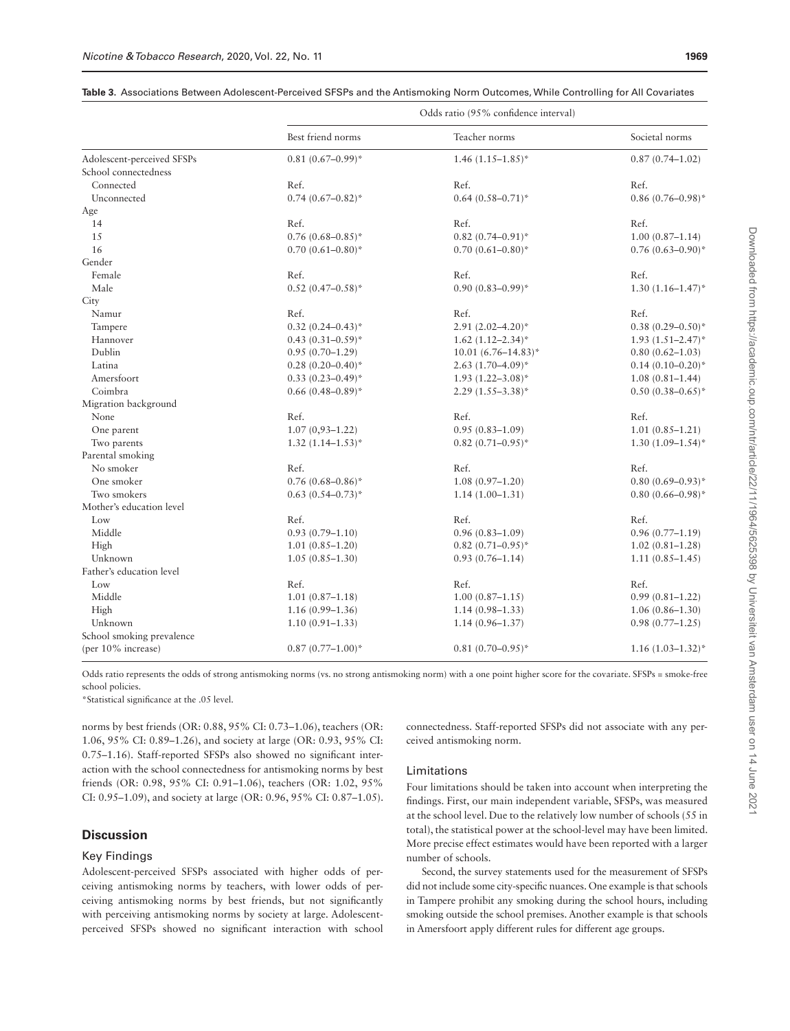|                            | Odds ratio (95% confidence interval) |                          |                       |  |  |
|----------------------------|--------------------------------------|--------------------------|-----------------------|--|--|
|                            | Best friend norms                    | Teacher norms            | Societal norms        |  |  |
| Adolescent-perceived SFSPs | $0.81(0.67-0.99)$ *                  | $1.46(1.15-1.85)^*$      | $0.87(0.74 - 1.02)$   |  |  |
| School connectedness       |                                      |                          |                       |  |  |
| Connected                  | Ref.                                 | Ref.                     | Ref.                  |  |  |
| Unconnected                | $0.74(0.67-0.82)$ *                  | $0.64(0.58 - 0.71)^*$    | $0.86(0.76 - 0.98)^*$ |  |  |
| Age                        |                                      |                          |                       |  |  |
| 14                         | Ref.                                 | Ref.                     | Ref.                  |  |  |
| 15                         | $0.76(0.68 - 0.85)^*$                | $0.82(0.74 - 0.91)^*$    | $1.00(0.87 - 1.14)$   |  |  |
| 16                         | $0.70(0.61 - 0.80)^*$                | $0.70(0.61 - 0.80)^*$    | $0.76(0.63 - 0.90)^*$ |  |  |
| Gender                     |                                      |                          |                       |  |  |
| Female                     | Ref.                                 | Ref.                     | Ref.                  |  |  |
| Male                       | $0.52(0.47-0.58)$ *                  | $0.90(0.83 - 0.99)^*$    | $1.30(1.16 - 1.47)^*$ |  |  |
| City                       |                                      |                          |                       |  |  |
| Namur                      | Ref.                                 | Ref.                     | Ref.                  |  |  |
| Tampere                    | $0.32(0.24 - 0.43)^*$                | $2.91(2.02 - 4.20)^*$    | $0.38(0.29 - 0.50)^*$ |  |  |
| Hannover                   | $0.43(0.31-0.59)$ *                  | $1.62$ $(1.12 - 2.34)$ * | $1.93(1.51 - 2.47)^*$ |  |  |
| Dublin                     | $0.95(0.70-1.29)$                    | $10.01(6.76 - 14.83)^*$  | $0.80(0.62 - 1.03)$   |  |  |
| Latina                     | $0.28(0.20-0.40)^*$                  | $2.63$ $(1.70 - 4.09)^*$ | $0.14(0.10-0.20)$ *   |  |  |
| Amersfoort                 | $0.33(0.23 - 0.49)^*$                | $1.93(1.22 - 3.08)^*$    | $1.08(0.81 - 1.44)$   |  |  |
| Coimbra                    | $0.66(0.48 - 0.89)^*$                | $2.29(1.55-3.38)^{*}$    | $0.50(0.38 - 0.65)^*$ |  |  |
| Migration background       |                                      |                          |                       |  |  |
| None                       | Ref.                                 | Ref.                     | Ref.                  |  |  |
| One parent                 | $1.07(0,93-1.22)$                    | $0.95(0.83 - 1.09)$      | $1.01(0.85 - 1.21)$   |  |  |
| Two parents                | $1.32(1.14 - 1.53)^*$                | $0.82(0.71 - 0.95)^*$    | $1.30(1.09-1.54)$ *   |  |  |
| Parental smoking           |                                      |                          |                       |  |  |
| No smoker                  | Ref.                                 | Ref.                     | Ref.                  |  |  |
| One smoker                 | $0.76(0.68 - 0.86)^*$                | $1.08(0.97-1.20)$        | $0.80(0.69 - 0.93)^*$ |  |  |
| Two smokers                | $0.63(0.54 - 0.73)^*$                | $1.14(1.00-1.31)$        | $0.80(0.66 - 0.98)^*$ |  |  |
| Mother's education level   |                                      |                          |                       |  |  |
| Low                        | Ref.                                 | Ref.                     | Ref.                  |  |  |
| Middle                     | $0.93(0.79 - 1.10)$                  | $0.96(0.83 - 1.09)$      | $0.96(0.77 - 1.19)$   |  |  |
| High                       | $1.01(0.85 - 1.20)$                  | $0.82(0.71 - 0.95)^*$    | $1.02(0.81 - 1.28)$   |  |  |
| Unknown                    | $1.05(0.85 - 1.30)$                  | $0.93(0.76 - 1.14)$      | $1.11(0.85 - 1.45)$   |  |  |
| Father's education level   |                                      |                          |                       |  |  |
| Low                        | Ref.                                 | Ref.                     | Ref.                  |  |  |
| Middle                     | $1.01(0.87 - 1.18)$                  | $1.00(0.87 - 1.15)$      | $0.99(0.81 - 1.22)$   |  |  |
| High                       | $1.16(0.99 - 1.36)$                  | $1.14(0.98 - 1.33)$      | $1.06(0.86 - 1.30)$   |  |  |
| Unknown                    | $1.10(0.91 - 1.33)$                  | $1.14(0.96 - 1.37)$      | $0.98(0.77-1.25)$     |  |  |
| School smoking prevalence  |                                      |                          |                       |  |  |
| (per 10% increase)         | $0.87(0.77-1.00)^*$                  | $0.81(0.70-0.95)^*$      | $1.16(1.03 - 1.32)^*$ |  |  |

#### <span id="page-6-0"></span>**Table 3.** Associations Between Adolescent-Perceived SFSPs and the Antismoking Norm Outcomes, While Controlling for All Covariates

Odds ratio represents the odds of strong antismoking norms (vs. no strong antismoking norm) with a one point higher score for the covariate. SFSPs = smoke-free school policies.

\*Statistical significance at the .05 level.

norms by best friends (OR: 0.88, 95% CI: 0.73–1.06), teachers (OR: 1.06, 95% CI: 0.89–1.26), and society at large (OR: 0.93, 95% CI: 0.75–1.16). Staff-reported SFSPs also showed no significant interaction with the school connectedness for antismoking norms by best friends (OR: 0.98, 95% CI: 0.91–1.06), teachers (OR: 1.02, 95% CI: 0.95–1.09), and society at large (OR: 0.96, 95% CI: 0.87–1.05).

## **Discussion**

#### Key Findings

Adolescent-perceived SFSPs associated with higher odds of perceiving antismoking norms by teachers, with lower odds of perceiving antismoking norms by best friends, but not significantly with perceiving antismoking norms by society at large. Adolescentperceived SFSPs showed no significant interaction with school connectedness. Staff-reported SFSPs did not associate with any perceived antismoking norm.

## Limitations

Four limitations should be taken into account when interpreting the findings. First, our main independent variable, SFSPs, was measured at the school level. Due to the relatively low number of schools (55 in total), the statistical power at the school-level may have been limited. More precise effect estimates would have been reported with a larger number of schools.

Second, the survey statements used for the measurement of SFSPs did not include some city-specific nuances. One example is that schools in Tampere prohibit any smoking during the school hours, including smoking outside the school premises. Another example is that schools in Amersfoort apply different rules for different age groups.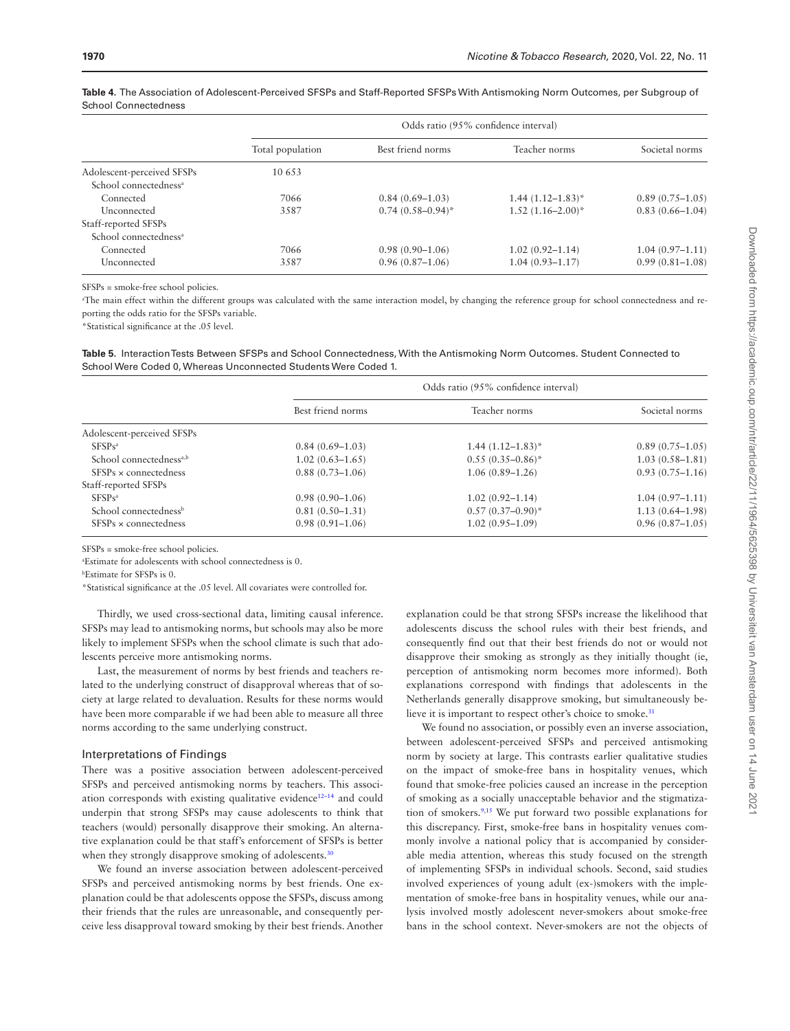|                                   | Odds ratio (95% confidence interval) |                     |                       |                     |  |
|-----------------------------------|--------------------------------------|---------------------|-----------------------|---------------------|--|
|                                   | Total population                     | Best friend norms   | Teacher norms         | Societal norms      |  |
| Adolescent-perceived SFSPs        | 10 653                               |                     |                       |                     |  |
| School connectedness <sup>a</sup> |                                      |                     |                       |                     |  |
| Connected                         | 7066                                 | $0.84(0.69-1.03)$   | $1.44(1.12 - 1.83)^*$ | $0.89(0.75-1.05)$   |  |
| Unconnected                       | 3587                                 | $0.74(0.58-0.94)^*$ | $1.52(1.16-2.00)^*$   | $0.83(0.66 - 1.04)$ |  |
| Staff-reported SFSPs              |                                      |                     |                       |                     |  |
| School connectedness <sup>a</sup> |                                      |                     |                       |                     |  |
| Connected                         | 7066                                 | $0.98(0.90-1.06)$   | $1.02(0.92 - 1.14)$   | $1.04(0.97-1.11)$   |  |
| Unconnected                       | 3587                                 | $0.96(0.87-1.06)$   | $1.04(0.93 - 1.17)$   | $0.99(0.81 - 1.08)$ |  |

<span id="page-7-0"></span>**Table 4.** The Association of Adolescent-Perceived SFSPs and Staff-Reported SFSPs With Antismoking Norm Outcomes, per Subgroup of School Connectedness

SFSPs = smoke-free school policies.

a The main effect within the different groups was calculated with the same interaction model, by changing the reference group for school connectedness and reporting the odds ratio for the SFSPs variable.

\*Statistical significance at the .05 level.

<span id="page-7-1"></span>**Table 5.** Interaction Tests Between SFSPs and School Connectedness, With the Antismoking Norm Outcomes. Student Connected to School Were Coded 0, Whereas Unconnected Students Were Coded 1.

|                                     | Odds ratio (95% confidence interval) |                       |                     |
|-------------------------------------|--------------------------------------|-----------------------|---------------------|
|                                     | Best friend norms                    | Teacher norms         | Societal norms      |
| Adolescent-perceived SFSPs          |                                      |                       |                     |
| SFSPs <sup>a</sup>                  | $0.84(0.69-1.03)$                    | $1.44(1.12 - 1.83)^*$ | $0.89(0.75-1.05)$   |
| School connectedness <sup>a,b</sup> | $1.02(0.63 - 1.65)$                  | $0.55(0.35-0.86)^*$   | $1.03(0.58 - 1.81)$ |
| $SFSPs \times connectedness$        | $0.88(0.73 - 1.06)$                  | $1.06(0.89 - 1.26)$   | $0.93(0.75 - 1.16)$ |
| Staff-reported SFSPs                |                                      |                       |                     |
| SFSPs <sup>a</sup>                  | $0.98(0.90-1.06)$                    | $1.02(0.92 - 1.14)$   | $1.04(0.97-1.11)$   |
| School connectedness <sup>b</sup>   | $0.81(0.50-1.31)$                    | $0.57(0.37-0.90)^*$   | $1.13(0.64 - 1.98)$ |
| $SFSPs \times connectedness$        | $0.98(0.91 - 1.06)$                  | $1.02(0.95-1.09)$     | $0.96(0.87-1.05)$   |

SFSPs = smoke-free school policies.

a Estimate for adolescents with school connectedness is 0.

b Estimate for SFSPs is 0.

\*Statistical significance at the .05 level. All covariates were controlled for.

Thirdly, we used cross-sectional data, limiting causal inference. SFSPs may lead to antismoking norms, but schools may also be more likely to implement SFSPs when the school climate is such that adolescents perceive more antismoking norms.

Last, the measurement of norms by best friends and teachers related to the underlying construct of disapproval whereas that of society at large related to devaluation. Results for these norms would have been more comparable if we had been able to measure all three norms according to the same underlying construct.

#### Interpretations of Findings

There was a positive association between adolescent-perceived SFSPs and perceived antismoking norms by teachers. This associ-ation corresponds with existing qualitative evidence<sup>[12](#page-8-9)-14</sup> and could underpin that strong SFSPs may cause adolescents to think that teachers (would) personally disapprove their smoking. An alternative explanation could be that staff's enforcement of SFSPs is better when they strongly disapprove smoking of adolescents.<sup>[30](#page-9-6)</sup>

We found an inverse association between adolescent-perceived SFSPs and perceived antismoking norms by best friends. One explanation could be that adolescents oppose the SFSPs, discuss among their friends that the rules are unreasonable, and consequently perceive less disapproval toward smoking by their best friends. Another explanation could be that strong SFSPs increase the likelihood that adolescents discuss the school rules with their best friends, and consequently find out that their best friends do not or would not disapprove their smoking as strongly as they initially thought (ie, perception of antismoking norm becomes more informed). Both explanations correspond with findings that adolescents in the Netherlands generally disapprove smoking, but simultaneously believe it is important to respect other's choice to smoke.<sup>31</sup>

We found no association, or possibly even an inverse association, between adolescent-perceived SFSPs and perceived antismoking norm by society at large. This contrasts earlier qualitative studies on the impact of smoke-free bans in hospitality venues, which found that smoke-free policies caused an increase in the perception of smoking as a socially unacceptable behavior and the stigmatization of smokers[.9](#page-8-11)[,15](#page-8-12) We put forward two possible explanations for this discrepancy. First, smoke-free bans in hospitality venues commonly involve a national policy that is accompanied by considerable media attention, whereas this study focused on the strength of implementing SFSPs in individual schools. Second, said studies involved experiences of young adult (ex-)smokers with the implementation of smoke-free bans in hospitality venues, while our analysis involved mostly adolescent never-smokers about smoke-free bans in the school context. Never-smokers are not the objects of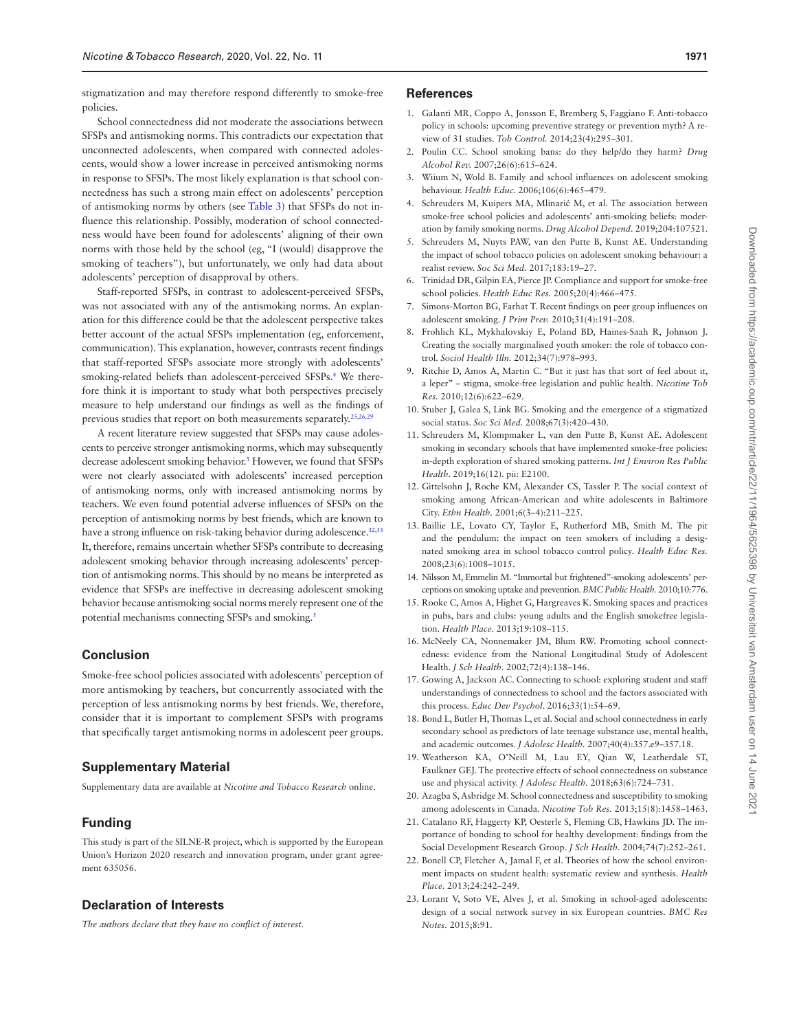stigmatization and may therefore respond differently to smoke-free policies.

School connectedness did not moderate the associations between SFSPs and antismoking norms. This contradicts our expectation that unconnected adolescents, when compared with connected adolescents, would show a lower increase in perceived antismoking norms in response to SFSPs. The most likely explanation is that school connectedness has such a strong main effect on adolescents' perception of antismoking norms by others (see [Table 3\)](#page-6-0) that SFSPs do not influence this relationship. Possibly, moderation of school connectedness would have been found for adolescents' aligning of their own norms with those held by the school (eg, "I (would) disapprove the smoking of teachers"), but unfortunately, we only had data about adolescents' perception of disapproval by others.

Staff-reported SFSPs, in contrast to adolescent-perceived SFSPs, was not associated with any of the antismoking norms. An explanation for this difference could be that the adolescent perspective takes better account of the actual SFSPs implementation (eg, enforcement, communication). This explanation, however, contrasts recent findings that staff-reported SFSPs associate more strongly with adolescents' smoking-related beliefs than adolescent-perceived SFSPs.[4](#page-8-2) We therefore think it is important to study what both perspectives precisely measure to help understand our findings as well as the findings of previous studies that report on both measurements separately[.25](#page-9-1),[26,](#page-9-2)[29](#page-9-5)

A recent literature review suggested that SFSPs may cause adolescents to perceive stronger antismoking norms, which may subsequently decrease adolescent smoking behavior.<sup>5</sup> However, we found that SFSPs were not clearly associated with adolescents' increased perception of antismoking norms, only with increased antismoking norms by teachers. We even found potential adverse influences of SFSPs on the perception of antismoking norms by best friends, which are known to have a strong influence on risk-taking behavior during adolescence.<sup>32,[33](#page-9-9)</sup> It, therefore, remains uncertain whether SFSPs contribute to decreasing adolescent smoking behavior through increasing adolescents' perception of antismoking norms. This should by no means be interpreted as evidence that SFSPs are ineffective in decreasing adolescent smoking behavior because antismoking social norms merely represent one of the potential mechanisms connecting SFSPs and smoking.<sup>5</sup>

#### **Conclusion**

Smoke-free school policies associated with adolescents' perception of more antismoking by teachers, but concurrently associated with the perception of less antismoking norms by best friends. We, therefore, consider that it is important to complement SFSPs with programs that specifically target antismoking norms in adolescent peer groups.

#### **Supplementary Material**

Supplementary data are available at *Nicotine and Tobacco Research* online.

#### **Funding**

This study is part of the SILNE-R project, which is supported by the European Union's Horizon 2020 research and innovation program, under grant agreement 635056.

#### **Declaration of Interests**

*The authors declare that they have no conflict of interest.*

#### **References**

- <span id="page-8-0"></span>1. Galanti MR, Coppo A, Jonsson E, Bremberg S, Faggiano F. Anti-tobacco policy in schools: upcoming preventive strategy or prevention myth? A review of 31 studies. *Tob Control.* 2014;23(4):295–301.
- <span id="page-8-1"></span>2. Poulin CC. School smoking bans: do they help/do they harm? *Drug Alcohol Rev.* 2007;26(6):615–624.
- 3. Wiium N, Wold B. Family and school influences on adolescent smoking behaviour. *Health Educ*. 2006;106(6):465–479.
- <span id="page-8-2"></span>4. Schreuders M, Kuipers MA, Mlinarić M, et al. The association between smoke-free school policies and adolescents' anti-smoking beliefs: moderation by family smoking norms. *Drug Alcohol Depend.* 2019;204:107521.
- <span id="page-8-3"></span>5. Schreuders M, Nuyts PAW, van den Putte B, Kunst AE. Understanding the impact of school tobacco policies on adolescent smoking behaviour: a realist review. *Soc Sci Med.* 2017;183:19–27.
- <span id="page-8-4"></span>6. Trinidad DR, Gilpin EA, Pierce JP. Compliance and support for smoke-free school policies. *Health Educ Res.* 2005;20(4):466–475.
- <span id="page-8-5"></span>7. Simons-Morton BG, Farhat T. Recent findings on peer group influences on adolescent smoking. *J Prim Prev.* 2010;31(4):191–208.
- <span id="page-8-6"></span>8. Frohlich KL, Mykhalovskiy E, Poland BD, Haines-Saah R, Johnson J. Creating the socially marginalised youth smoker: the role of tobacco control. *Sociol Health Illn.* 2012;34(7):978–993.
- <span id="page-8-11"></span>9. Ritchie D, Amos A, Martin C. "But it just has that sort of feel about it, a leper" – stigma, smoke-free legislation and public health. *Nicotine Tob Res.* 2010;12(6):622–629.
- <span id="page-8-7"></span>10. Stuber J, Galea S, Link BG. Smoking and the emergence of a stigmatized social status. *Soc Sci Med.* 2008;67(3):420–430.
- <span id="page-8-8"></span>11. Schreuders M, Klompmaker L, van den Putte B, Kunst AE. Adolescent smoking in secondary schools that have implemented smoke-free policies: in-depth exploration of shared smoking patterns. *Int J Environ Res Public Health*. 2019;16(12). pii: E2100.
- <span id="page-8-9"></span>12. Gittelsohn J, Roche KM, Alexander CS, Tassler P. The social context of smoking among African-American and white adolescents in Baltimore City. *Ethn Health.* 2001;6(3–4):211–225.
- 13. Baillie LE, Lovato CY, Taylor E, Rutherford MB, Smith M. The pit and the pendulum: the impact on teen smokers of including a designated smoking area in school tobacco control policy. *Health Educ Res.* 2008;23(6):1008–1015.
- <span id="page-8-10"></span>14. Nilsson M, Emmelin M. "Immortal but frightened"-smoking adolescents' perceptions on smoking uptake and prevention. *BMC Public Health.* 2010;10:776.
- <span id="page-8-12"></span>15. Rooke C, Amos A, Highet G, Hargreaves K. Smoking spaces and practices in pubs, bars and clubs: young adults and the English smokefree legislation. *Health Place.* 2013;19:108–115.
- <span id="page-8-13"></span>16. McNeely CA, Nonnemaker JM, Blum RW. Promoting school connectedness: evidence from the National Longitudinal Study of Adolescent Health. *J Sch Health.* 2002;72(4):138–146.
- <span id="page-8-14"></span>17. Gowing A, Jackson AC. Connecting to school: exploring student and staff understandings of connectedness to school and the factors associated with this process. *Educ Dev Psychol*. 2016;33(1):54–69.
- <span id="page-8-15"></span>18. Bond L, Butler H, Thomas L, et al. Social and school connectedness in early secondary school as predictors of late teenage substance use, mental health, and academic outcomes. *J Adolesc Health.* 2007;40(4):357.e9–357.18.
- 19. Weatherson KA, O'Neill M, Lau EY, Qian W, Leatherdale ST, Faulkner GEJ. The protective effects of school connectedness on substance use and physical activity. *J Adolesc Health.* 2018;63(6):724–731.
- <span id="page-8-16"></span>20. Azagba S, Asbridge M. School connectedness and susceptibility to smoking among adolescents in Canada. *Nicotine Tob Res.* 2013;15(8):1458–1463.
- <span id="page-8-17"></span>21. Catalano RF, Haggerty KP, Oesterle S, Fleming CB, Hawkins JD. The importance of bonding to school for healthy development: findings from the Social Development Research Group. *J Sch Health.* 2004;74(7):252–261.
- <span id="page-8-18"></span>22. Bonell CP, Fletcher A, Jamal F, et al. Theories of how the school environment impacts on student health: systematic review and synthesis. *Health Place.* 2013;24:242–249.
- <span id="page-8-19"></span>23. Lorant V, Soto VE, Alves J, et al. Smoking in school-aged adolescents: design of a social network survey in six European countries. *BMC Res Notes.* 2015;8:91.